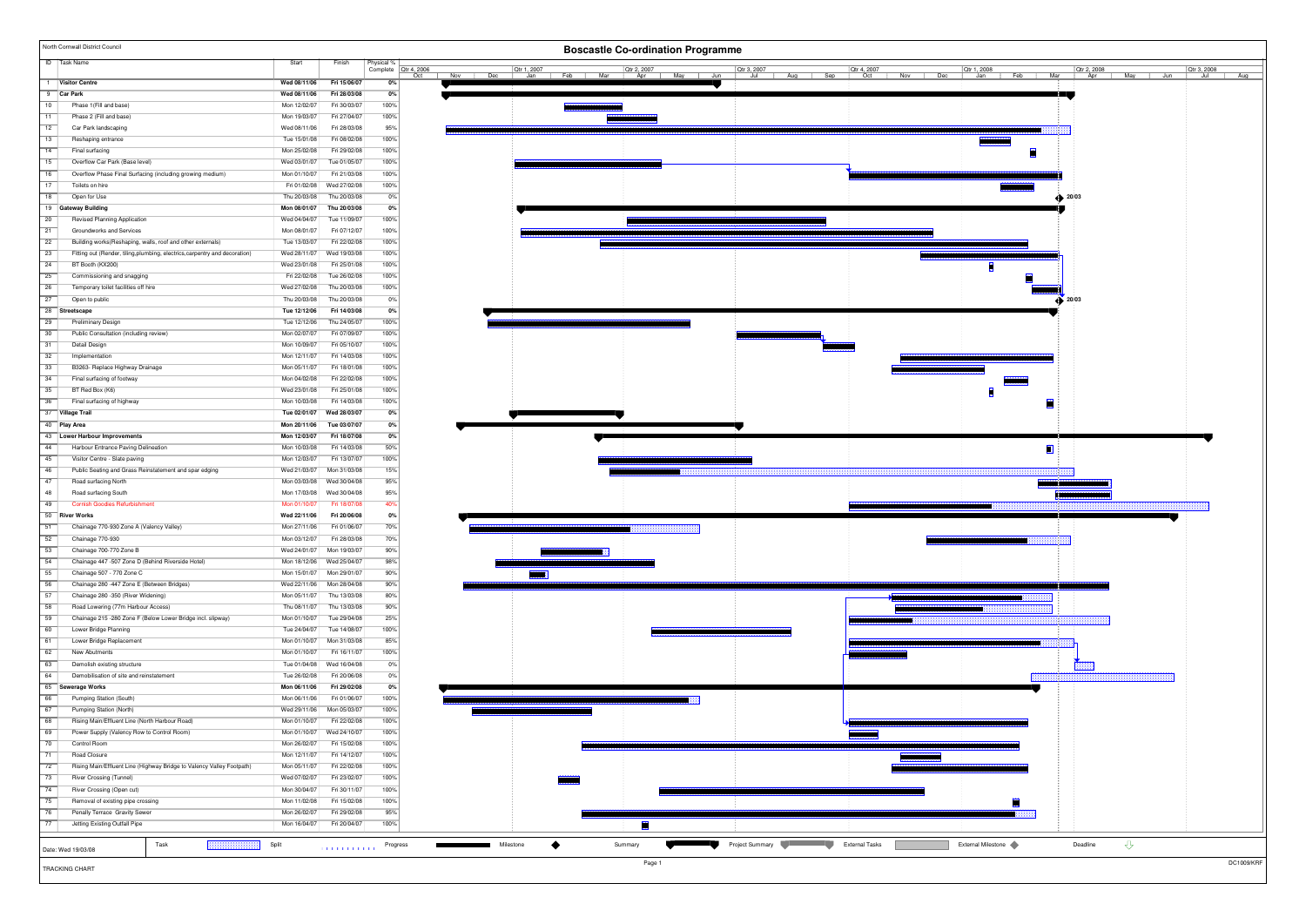|                 | North Cornwall District Council                                             |                              |                              |              | <b>Boscastle Co-ordination Programme</b>                                                                                                                                                                                                                                                                                            |  |
|-----------------|-----------------------------------------------------------------------------|------------------------------|------------------------------|--------------|-------------------------------------------------------------------------------------------------------------------------------------------------------------------------------------------------------------------------------------------------------------------------------------------------------------------------------------|--|
|                 | <b>ID</b> Task Name                                                         | Start                        | Finish                       | Physical %   | Complete   Qtr 4, 2006<br>Qtr 4, 2007<br>Otr 1, 2008<br>Otr 2, 2008<br>Qtr 3, 2008                                                                                                                                                                                                                                                  |  |
|                 | 1   Visitor Centre                                                          | Wed 08/11/06                 | Fri 15/06/07                 | 0%           | <b>Qtr 1, 2007</b><br>$\frac{Qtr 3, 2007}{Jul}$<br>Jan<br>Oct<br>Nov Dec<br>Sep<br>Oct   Nov   Dec<br>  Feb   Mar<br>Apr<br>Jul<br>Aug<br>Aug<br>May Jun                                                                                                                                                                            |  |
|                 | 9 Car Park                                                                  | Wed 08/11/06                 | Fri 28/03/08                 | 0%           |                                                                                                                                                                                                                                                                                                                                     |  |
| 10              | Phase 1(Fill and base)                                                      | Mon 12/02/07                 | Fri 30/03/07                 | 100%         |                                                                                                                                                                                                                                                                                                                                     |  |
| 11              | Phase 2 (Fill and base)                                                     | Mon 19/03/07                 | Fri 27/04/07                 | 100%         |                                                                                                                                                                                                                                                                                                                                     |  |
| $\overline{12}$ | Car Park landscaping                                                        | Wed 08/11/06                 | Fri 28/03/08                 | 95%          |                                                                                                                                                                                                                                                                                                                                     |  |
| 13              | Reshaping entrance                                                          | Tue 15/01/08                 | Fri 08/02/08                 | 100%         |                                                                                                                                                                                                                                                                                                                                     |  |
| 14              | Final surfacing                                                             | Mon 25/02/08                 | Fri 29/02/08                 | 100%         |                                                                                                                                                                                                                                                                                                                                     |  |
| $\overline{15}$ | Overflow Car Park (Base level)                                              | Wed 03/01/07                 | Tue 01/05/07                 | 100%         |                                                                                                                                                                                                                                                                                                                                     |  |
| 16              | Overflow Phase Final Surfacing (including growing medium)                   | Mon 01/10/07                 | Fri 21/03/08                 | 100%         |                                                                                                                                                                                                                                                                                                                                     |  |
| 17              | Toilets on hire                                                             | Fri 01/02/08                 | Wed 27/02/08                 | 100%         |                                                                                                                                                                                                                                                                                                                                     |  |
| 18              | Open for Use                                                                | Thu 20/03/08                 | Thu 20/03/08                 | 0%           | $\leftrightarrow$ 20/03                                                                                                                                                                                                                                                                                                             |  |
|                 | 19 Gateway Building                                                         | Mon 08/01/07                 | Thu 20/03/08                 | 0%           |                                                                                                                                                                                                                                                                                                                                     |  |
| $\overline{20}$ | Revised Planning Application                                                | Wed 04/04/07                 | Tue 11/09/07                 | 100%         |                                                                                                                                                                                                                                                                                                                                     |  |
| $\overline{21}$ | Groundworks and Services                                                    | Mon 08/01/07                 | Fri 07/12/07                 | 100%         |                                                                                                                                                                                                                                                                                                                                     |  |
| $\overline{22}$ | Building works(Reshaping, walls, roof and other externals)                  | Tue 13/03/07                 | Fri 22/02/08                 | 100%         |                                                                                                                                                                                                                                                                                                                                     |  |
| 23              | Fitting out (Render, tiling, plumbing, electrics, carpentry and decoration) | Wed 28/11/07                 | Wed 19/03/08                 | 100%         |                                                                                                                                                                                                                                                                                                                                     |  |
| $\overline{24}$ | BT Booth (KX200)                                                            | Wed 23/01/08                 | Fri 25/01/08                 | 100%         |                                                                                                                                                                                                                                                                                                                                     |  |
| $\overline{25}$ | Commissioning and snagging                                                  | Fri 22/02/08                 | Tue 26/02/08                 | 100%         |                                                                                                                                                                                                                                                                                                                                     |  |
| $\overline{26}$ | Temporary toilet facilities off hire                                        | Wed 27/02/08                 | Thu 20/03/08                 | 100%         |                                                                                                                                                                                                                                                                                                                                     |  |
| $\overline{27}$ | Open to public                                                              | Thu 20/03/08                 | Thu 20/03/08                 | 0%           | . 20/03                                                                                                                                                                                                                                                                                                                             |  |
|                 | 28 Streetscape                                                              | Tue 12/12/06                 | Fri 14/03/08                 | 0%           |                                                                                                                                                                                                                                                                                                                                     |  |
| $\overline{29}$ | <b>Preliminary Design</b>                                                   | Tue 12/12/06                 | Thu 24/05/07                 | 100%         |                                                                                                                                                                                                                                                                                                                                     |  |
| 30              | Public Consultation (including review)                                      | Mon 02/07/07                 | Fri 07/09/07                 | 100%         |                                                                                                                                                                                                                                                                                                                                     |  |
| $\overline{31}$ | Detail Design                                                               | Mon 10/09/07                 | Fri 05/10/07                 | 100%         |                                                                                                                                                                                                                                                                                                                                     |  |
| $\overline{32}$ | Implementation                                                              | Mon 12/11/07                 | Fri 14/03/08                 | 100%         |                                                                                                                                                                                                                                                                                                                                     |  |
| $\overline{33}$ | B3263- Replace Highway Drainage                                             | Mon 05/11/07                 | Fri 18/01/08                 | 100%         |                                                                                                                                                                                                                                                                                                                                     |  |
| 34              | Final surfacing of footway                                                  | Mon 04/02/08                 | Fri 22/02/08                 | 100%         |                                                                                                                                                                                                                                                                                                                                     |  |
| 35              | BT Red Box (K6)                                                             | Wed 23/01/08                 | Fri 25/01/08                 | 100%         |                                                                                                                                                                                                                                                                                                                                     |  |
| 36              | Final surfacing of highway                                                  | Mon 10/03/08                 | Fri 14/03/08                 | 100%         |                                                                                                                                                                                                                                                                                                                                     |  |
|                 | 37 Village Trail                                                            | Tue 02/01/07                 | Wed 28/03/07                 | $0\%$        |                                                                                                                                                                                                                                                                                                                                     |  |
|                 | 40 Play Area                                                                | Mon 20/11/06<br>Mon 12/03/07 | Tue 03/07/07                 | 0%<br>0%     |                                                                                                                                                                                                                                                                                                                                     |  |
| 44              | 43 Lower Harbour Improvements                                               | Mon 10/03/08                 | Fri 18/07/08<br>Fri 14/03/08 | 50%          |                                                                                                                                                                                                                                                                                                                                     |  |
| 45              | Harbour Entrance Paving Delineation<br>Visitor Centre - Slate paving        | Mon 12/03/07                 | Fri 13/07/07                 | 100%         |                                                                                                                                                                                                                                                                                                                                     |  |
| $-46$           | Public Seating and Grass Reinstatement and spar edging                      | Wed 21/03/07                 | Mon 31/03/08                 | 15%          |                                                                                                                                                                                                                                                                                                                                     |  |
| $-47$           | Road surfacing North                                                        | Mon 03/03/08                 | Wed 30/04/08                 | 95%          |                                                                                                                                                                                                                                                                                                                                     |  |
| $-48$           | Road surfacing South                                                        | Mon 17/03/08                 | Wed 30/04/08                 | 95%          |                                                                                                                                                                                                                                                                                                                                     |  |
| 49              | <b>Cornish Goodies Refurbishment</b>                                        | Mon 01/10/07                 | Fri 18/07/08                 | 40%          |                                                                                                                                                                                                                                                                                                                                     |  |
|                 | 50 River Works                                                              | Wed 22/11/06                 | Fri 20/06/08                 | 0%           |                                                                                                                                                                                                                                                                                                                                     |  |
| 51              | Chainage 770-930 Zone A (Valency Valley)                                    | Mon 27/11/06                 | Fri 01/06/07                 | 70%          |                                                                                                                                                                                                                                                                                                                                     |  |
| 52              | Chainage 770-930                                                            | Mon 03/12/07                 | Fri 28/03/08                 | 70%          |                                                                                                                                                                                                                                                                                                                                     |  |
| 53              | Chainage 700-770 Zone B                                                     |                              | Wed 24/01/07 Mon 19/03/07    | 90%          |                                                                                                                                                                                                                                                                                                                                     |  |
| 54              | Chainage 447 -507 Zone D (Behind Riverside Hotel)                           |                              | Mon 18/12/06 Wed 25/04/07    | 98%          |                                                                                                                                                                                                                                                                                                                                     |  |
| 55              | Chainage 507 - 770 Zone C                                                   | Mon 15/01/07                 | Mon 29/01/07                 | 90%          | <b>MARKET</b>                                                                                                                                                                                                                                                                                                                       |  |
| 56              | Chainage 280 -447 Zone E (Between Bridges)                                  | Wed 22/11/06                 | Mon 28/04/08                 | 90%          |                                                                                                                                                                                                                                                                                                                                     |  |
| 57              | Chainage 280 -350 (River Widening)                                          | Mon 05/11/07                 | Thu 13/03/08                 | 80%          |                                                                                                                                                                                                                                                                                                                                     |  |
| $-58$           | Road Lowering (77m Harbour Access)                                          | Thu 08/11/07                 | Thu 13/03/08                 | 90%          |                                                                                                                                                                                                                                                                                                                                     |  |
| $-59$           | Chainage 215 - 280 Zone F (Below Lower Bridge incl. slipway)                | Mon 01/10/07                 | Tue 29/04/08                 | 25%          |                                                                                                                                                                                                                                                                                                                                     |  |
| 60              | Lower Bridge Planning                                                       | Tue 24/04/07                 | Tue 14/08/07                 | 100%         |                                                                                                                                                                                                                                                                                                                                     |  |
| 61              | Lower Bridge Replacement                                                    | Mon 01/10/07                 | Mon 31/03/08                 | 85%          |                                                                                                                                                                                                                                                                                                                                     |  |
| 62              | New Abutments                                                               | Mon 01/10/07                 | Fri 16/11/07                 | 100%         |                                                                                                                                                                                                                                                                                                                                     |  |
| 63              | Demolish existing structure                                                 | Tue 01/04/08                 | Wed 16/04/08                 | 0%           |                                                                                                                                                                                                                                                                                                                                     |  |
| 64              | Demobilisation of site and reinstatement                                    | Tue 26/02/08                 | Fri 20/06/08                 | $0\%$        |                                                                                                                                                                                                                                                                                                                                     |  |
| 65              | Sewerage Works                                                              | Mon 06/11/06                 | Fri 29/02/08                 | 0%           |                                                                                                                                                                                                                                                                                                                                     |  |
| 66              | Pumping Station (South)                                                     | Mon 06/11/06                 | Fri 01/06/07                 | 100%         |                                                                                                                                                                                                                                                                                                                                     |  |
| 67              | Pumping Station (North)                                                     | Wed 29/11/06                 | Mon 05/03/07                 | 100%         |                                                                                                                                                                                                                                                                                                                                     |  |
| 68              | Rising Main/Effluent Line (North Harbour Road)                              | Mon 01/10/07                 | Fri 22/02/08                 | 100%         |                                                                                                                                                                                                                                                                                                                                     |  |
| $-69$<br>70     | Power Supply (Valency Row to Control Room)<br>Control Room                  | Mon 01/10/07                 | Wed 24/10/07                 | 100%<br>100% |                                                                                                                                                                                                                                                                                                                                     |  |
| $\overline{71}$ | Road Closure                                                                | Mon 26/02/07<br>Mon 12/11/07 | Fri 15/02/08<br>Fri 14/12/07 | 100%         |                                                                                                                                                                                                                                                                                                                                     |  |
| $\overline{72}$ | Rising Main/Effluent Line (Highway Bridge to Valency Valley Footpath)       | Mon 05/11/07                 | Fri 22/02/08                 | 100%         |                                                                                                                                                                                                                                                                                                                                     |  |
| $\overline{73}$ |                                                                             | Wed 07/02/07                 | Fri 23/02/07                 | 100%         |                                                                                                                                                                                                                                                                                                                                     |  |
| $\overline{74}$ | River Crossing (Tunnel)<br>River Crossing (Open cut)                        | Mon 30/04/07                 | Fri 30/11/07                 | 100%         |                                                                                                                                                                                                                                                                                                                                     |  |
| 75              | Removal of existing pipe crossing                                           | Mon 11/02/08                 | Fri 15/02/08                 | 100%         |                                                                                                                                                                                                                                                                                                                                     |  |
| 76              | Penally Terrace Gravity Sewer                                               | Mon 26/02/07                 | Fri 29/02/08                 | 95%          |                                                                                                                                                                                                                                                                                                                                     |  |
| 77              | Jetting Existing Outfall Pipe                                               | Mon 16/04/07                 | Fri 20/04/07                 | 100%         | 闣                                                                                                                                                                                                                                                                                                                                   |  |
|                 |                                                                             |                              |                              |              |                                                                                                                                                                                                                                                                                                                                     |  |
|                 | Task<br>                                                                    | Split                        |                              |              | $\triangle$<br>Project Summary <b>Contract Contract Contract Contract Contract Contract Contract Contract Contract Contract Contract Contract Contract Contract Contract Contract Contract Contract Contract Contract Contract Contract Contrac</b><br>External Milestone<br>Milestone<br>◆<br>Deadline<br>Summary<br>$\mathcal{L}$ |  |
|                 | Date: Wed 19/03/08                                                          |                              |                              |              |                                                                                                                                                                                                                                                                                                                                     |  |
|                 | TRACKING CHART                                                              |                              |                              |              | <b>DC1009/KRF</b><br>Page 1                                                                                                                                                                                                                                                                                                         |  |